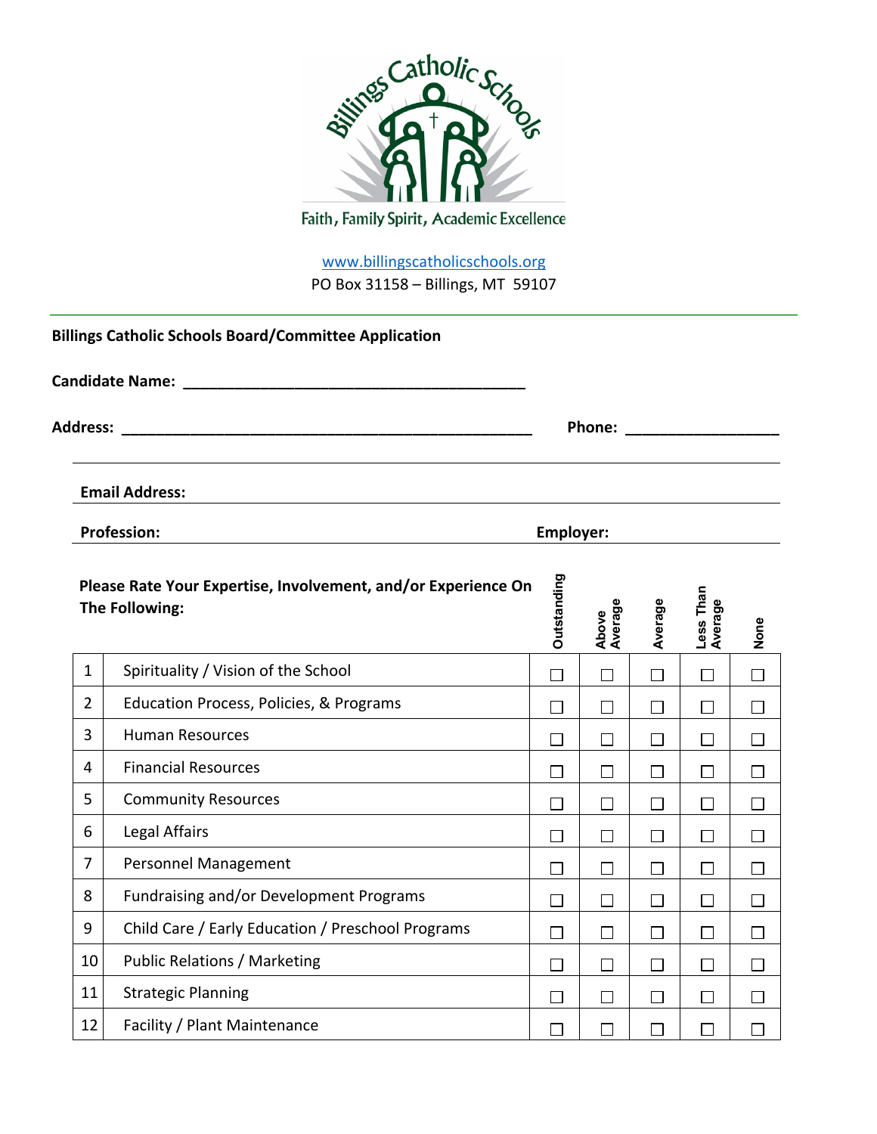

www.billingscatholicschools.org PO Box 31158 – Billings, MT 59107

|                 | <b>Billings Catholic Schools Board/Committee Application</b>                    |                  |                  |         |                      |              |
|-----------------|---------------------------------------------------------------------------------|------------------|------------------|---------|----------------------|--------------|
|                 | <b>Candidate Name:</b> The Candidate Name:                                      |                  |                  |         |                      |              |
| <b>Address:</b> |                                                                                 |                  |                  |         |                      |              |
|                 | <b>Email Address:</b>                                                           |                  |                  |         |                      |              |
|                 | <b>Profession:</b>                                                              | <b>Employer:</b> |                  |         |                      |              |
|                 | Please Rate Your Expertise, Involvement, and/or Experience On<br>The Following: | Outstanding      | Above<br>Average | Average | Less Than<br>Average | None         |
| $\mathbf{1}$    | Spirituality / Vision of the School                                             | $\Box$           | П                | $\Box$  | П                    | П            |
| $\overline{2}$  | Education Process, Policies, & Programs                                         | $\Box$           | П                | $\Box$  | П                    | $\Box$       |
| 3               | <b>Human Resources</b>                                                          | $\Box$           | $\Box$           | $\Box$  | П                    | $\Box$       |
| 4               | <b>Financial Resources</b>                                                      | П                | П                | $\Box$  | П                    | $\mathsf{L}$ |
| 5               | <b>Community Resources</b>                                                      | $\Box$           | П                | $\Box$  | $\Box$               | П            |
| 6               | Legal Affairs                                                                   | $\Box$           | $\Box$           | $\Box$  | $\Box$               | П            |
| $\overline{7}$  | Personnel Management                                                            | П                | П                | $\Box$  | ΙI                   | $\mathsf{L}$ |
| 8               | Fundraising and/or Development Programs                                         | $\Box$           | П                | $\Box$  | П                    | П            |
| 9               | Child Care / Early Education / Preschool Programs                               | П                | П                | $\Box$  | П                    | П            |
| 10              | <b>Public Relations / Marketing</b>                                             | П                | П                | $\Box$  |                      |              |
| 11              | <b>Strategic Planning</b>                                                       | П                | П                | $\Box$  | $\Box$               | $\Box$       |
| 12              | Facility / Plant Maintenance                                                    | П                | $\Box$           | П       |                      |              |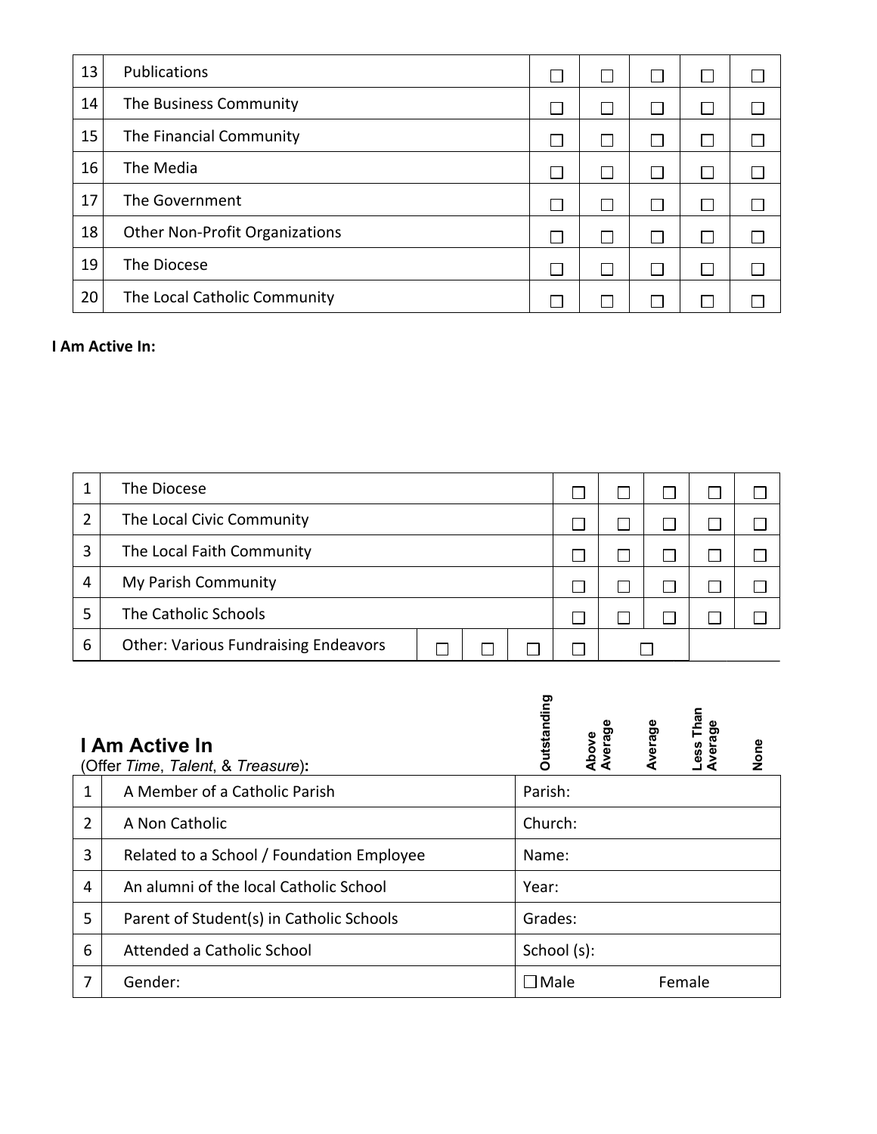| 13 | Publications                          |  | l I          |  |
|----|---------------------------------------|--|--------------|--|
| 14 | The Business Community                |  | $\mathbf{I}$ |  |
| 15 | The Financial Community               |  | l I          |  |
| 16 | The Media                             |  |              |  |
| 17 | The Government                        |  |              |  |
| 18 | <b>Other Non-Profit Organizations</b> |  |              |  |
| 19 | The Diocese                           |  | $\mathbf{I}$ |  |
| 20 | The Local Catholic Community          |  |              |  |

## **I Am Active In:**

|   | The Diocese                                 |  |  |  |  |  |  |
|---|---------------------------------------------|--|--|--|--|--|--|
| ำ | The Local Civic Community                   |  |  |  |  |  |  |
| 3 | The Local Faith Community                   |  |  |  |  |  |  |
| 4 | My Parish Community                         |  |  |  |  |  |  |
|   | The Catholic Schools                        |  |  |  |  |  |  |
| 6 | <b>Other: Various Fundraising Endeavors</b> |  |  |  |  |  |  |

|                | I Am Active In<br>(Offer Time, Talent, & Treasure): | <b>Outstanding</b><br>ess Than<br>Above<br>Average<br>Average<br>Average<br>None |
|----------------|-----------------------------------------------------|----------------------------------------------------------------------------------|
| 1              | A Member of a Catholic Parish                       | Parish:                                                                          |
| $\overline{2}$ | A Non Catholic                                      | Church:                                                                          |
| 3              | Related to a School / Foundation Employee           | Name:                                                                            |
| 4              | An alumni of the local Catholic School              | Year:                                                                            |
| 5              | Parent of Student(s) in Catholic Schools            | Grades:                                                                          |
| 6              | Attended a Catholic School                          | School (s):                                                                      |
| 7              | Gender:                                             | $\square$ Male<br>Female                                                         |